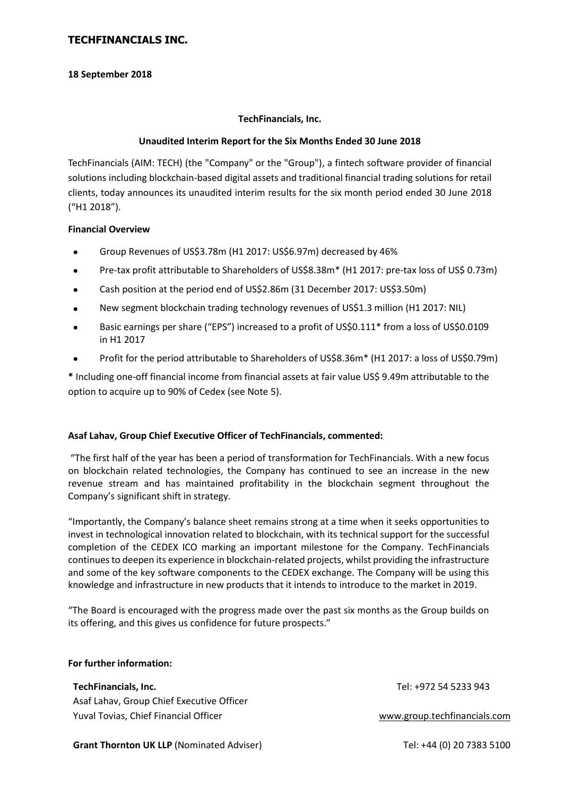## **18 September 2018**

## **TechFinancials, Inc.**

## **Unaudited Interim Report for the Six Months Ended 30 June 2018**

TechFinancials (AIM: TECH) (the "Company" or the "Group"), a fintech software provider of financial solutions including blockchain-based digital assets and traditional financial trading solutions for retail clients, today announces its unaudited interim results for the six month period ended 30 June 2018 ("H1 2018").

## **Financial Overview**

- Group Revenues of US\$3.78m (H1 2017: US\$6.97m) decreased by 46%
- Pre-tax profit attributable to Shareholders of US\$8.38m\* (H1 2017: pre-tax loss of US\$ 0.73m)
- Cash position at the period end of US\$2.86m (31 December 2017: US\$3.50m)
- New segment blockchain trading technology revenues of US\$1.3 million (H1 2017: NIL)
- Basic earnings per share ("EPS") increased to a profit of US\$0.111\* from a loss of US\$0.0109 in H1 2017
- Profit for the period attributable to Shareholders of US\$8.36m\* (H1 2017: a loss of US\$0.79m)

**\*** Including one-off financial income from financial assets at fair value US\$ 9.49m attributable to the option to acquire up to 90% of Cedex (see Note 5).

## **Asaf Lahav, Group Chief Executive Officer of TechFinancials, commented:**

"The first half of the year has been a period of transformation for TechFinancials. With a new focus on blockchain related technologies, the Company has continued to see an increase in the new revenue stream and has maintained profitability in the blockchain segment throughout the Company's significant shift in strategy.

"Importantly, the Company's balance sheet remains strong at a time when it seeks opportunities to invest in technological innovation related to blockchain, with its technical support for the successful completion of the CEDEX ICO marking an important milestone for the Company. TechFinancials continues to deepen its experience in blockchain-related projects, whilst providing the infrastructure and some of the key software components to the CEDEX exchange. The Company will be using this knowledge and infrastructure in new products that it intends to introduce to the market in 2019.

"The Board is encouraged with the progress made over the past six months as the Group builds on its offering, and this gives us confidence for future prospects."

| TechFinancials, Inc.                      | Tel: +972 54 5233 943        |
|-------------------------------------------|------------------------------|
| Asaf Lahav, Group Chief Executive Officer |                              |
| Yuval Tovias, Chief Financial Officer     | www.group.techfinancials.com |
|                                           |                              |

**Grant Thornton UK LLP** (Nominated Adviser) Tel: +44 (0) 20 7383 5100

**For further information:**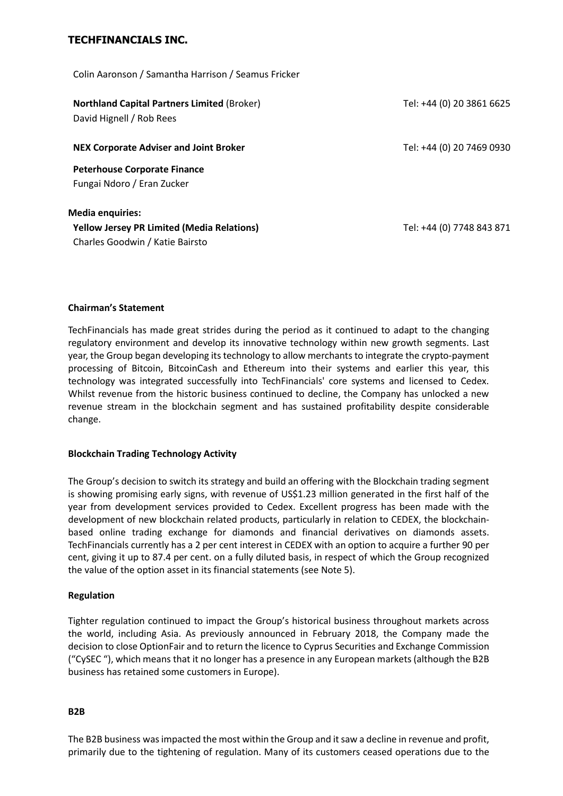Colin Aaronson / Samantha Harrison / Seamus Fricker

| <b>Northland Capital Partners Limited (Broker)</b><br>David Hignell / Rob Rees | Tel: +44 (0) 20 3861 6625 |
|--------------------------------------------------------------------------------|---------------------------|
| <b>NEX Corporate Adviser and Joint Broker</b>                                  | Tel: +44 (0) 20 7469 0930 |
| <b>Peterhouse Corporate Finance</b><br>Fungai Ndoro / Eran Zucker              |                           |
| <b>Media enquiries:</b>                                                        |                           |
| <b>Yellow Jersey PR Limited (Media Relations)</b>                              | Tel: +44 (0) 7748 843 871 |
| Charles Goodwin / Katie Bairsto                                                |                           |

### **Chairman's Statement**

TechFinancials has made great strides during the period as it continued to adapt to the changing regulatory environment and develop its innovative technology within new growth segments. Last year, the Group began developing its technology to allow merchants to integrate the crypto-payment processing of Bitcoin, BitcoinCash and Ethereum into their systems and earlier this year, this technology was integrated successfully into TechFinancials' core systems and licensed to Cedex. Whilst revenue from the historic business continued to decline, the Company has unlocked a new revenue stream in the blockchain segment and has sustained profitability despite considerable change.

## **Blockchain Trading Technology Activity**

The Group's decision to switch its strategy and build an offering with the Blockchain trading segment is showing promising early signs, with revenue of US\$1.23 million generated in the first half of the year from development services provided to Cedex. Excellent progress has been made with the development of new blockchain related products, particularly in relation to CEDEX, the blockchainbased online trading exchange for diamonds and financial derivatives on diamonds assets. TechFinancials currently has a 2 per cent interest in CEDEX with an option to acquire a further 90 per cent, giving it up to 87.4 per cent. on a fully diluted basis, in respect of which the Group recognized the value of the option asset in its financial statements (see Note 5).

### **Regulation**

Tighter regulation continued to impact the Group's historical business throughout markets across the world, including Asia. As previously announced in February 2018, the Company made the decision to close OptionFair and to return the licence to Cyprus Securities and Exchange Commission ("CySEC "), which means that it no longer has a presence in any European markets (although the B2B business has retained some customers in Europe).

### **B2B**

The B2B business was impacted the most within the Group and it saw a decline in revenue and profit, primarily due to the tightening of regulation. Many of its customers ceased operations due to the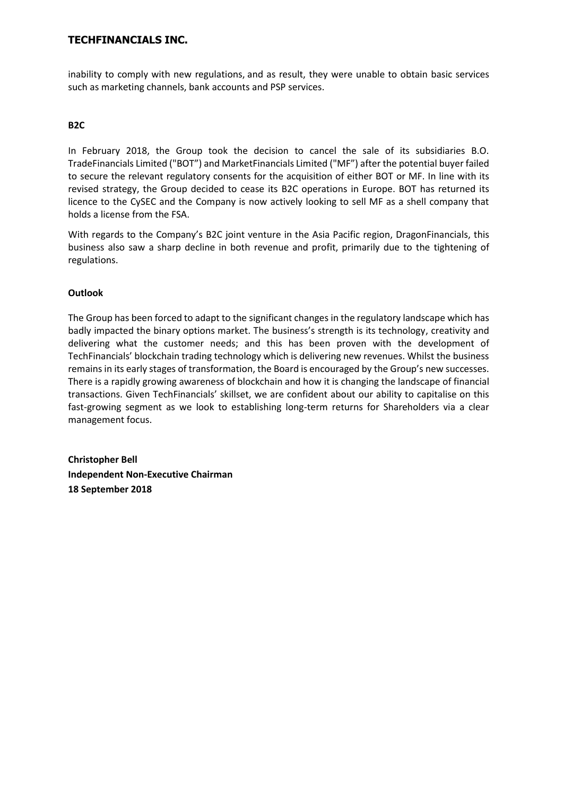inability to comply with new regulations, and as result, they were unable to obtain basic services such as marketing channels, bank accounts and PSP services.

## **B2C**

In February 2018, the Group took the decision to cancel the sale of its subsidiaries B.O. TradeFinancials Limited ("BOT") and MarketFinancials Limited ("MF") after the potential buyer failed to secure the relevant regulatory consents for the acquisition of either BOT or MF. In line with its revised strategy, the Group decided to cease its B2C operations in Europe. BOT has returned its licence to the CySEC and the Company is now actively looking to sell MF as a shell company that holds a license from the FSA.

With regards to the Company's B2C joint venture in the Asia Pacific region, DragonFinancials, this business also saw a sharp decline in both revenue and profit, primarily due to the tightening of regulations.

## **Outlook**

The Group has been forced to adapt to the significant changes in the regulatory landscape which has badly impacted the binary options market. The business's strength is its technology, creativity and delivering what the customer needs; and this has been proven with the development of TechFinancials' blockchain trading technology which is delivering new revenues. Whilst the business remains in its early stages of transformation, the Board is encouraged by the Group's new successes. There is a rapidly growing awareness of blockchain and how it is changing the landscape of financial transactions. Given TechFinancials' skillset, we are confident about our ability to capitalise on this fast-growing segment as we look to establishing long-term returns for Shareholders via a clear management focus.

**Christopher Bell Independent Non-Executive Chairman 18 September 2018**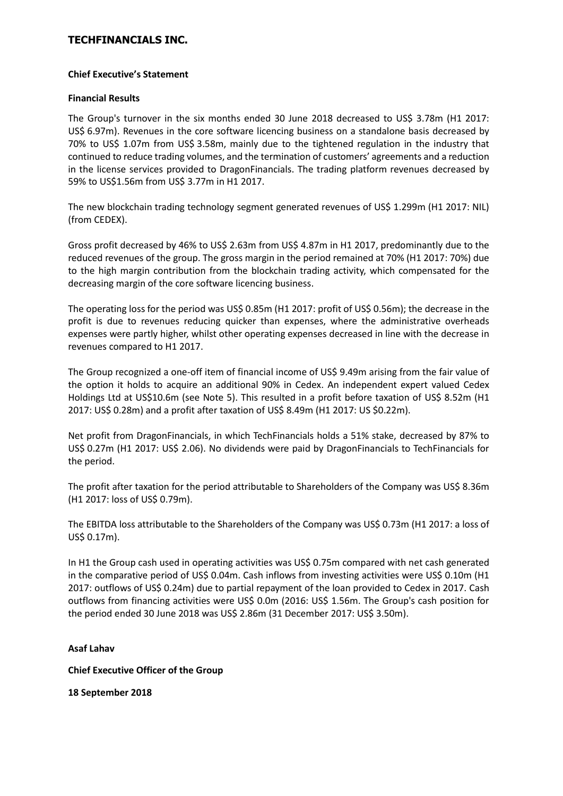## **Chief Executive's Statement**

## **Financial Results**

The Group's turnover in the six months ended 30 June 2018 decreased to US\$ 3.78m (H1 2017: US\$ 6.97m). Revenues in the core software licencing business on a standalone basis decreased by 70% to US\$ 1.07m from US\$ 3.58m, mainly due to the tightened regulation in the industry that continued to reduce trading volumes, and the termination of customers' agreements and a reduction in the license services provided to DragonFinancials. The trading platform revenues decreased by 59% to US\$1.56m from US\$ 3.77m in H1 2017.

The new blockchain trading technology segment generated revenues of US\$ 1.299m (H1 2017: NIL) (from CEDEX).

Gross profit decreased by 46% to US\$ 2.63m from US\$ 4.87m in H1 2017, predominantly due to the reduced revenues of the group. The gross margin in the period remained at 70% (H1 2017: 70%) due to the high margin contribution from the blockchain trading activity, which compensated for the decreasing margin of the core software licencing business.

The operating loss for the period was US\$ 0.85m (H1 2017: profit of US\$ 0.56m); the decrease in the profit is due to revenues reducing quicker than expenses, where the administrative overheads expenses were partly higher, whilst other operating expenses decreased in line with the decrease in revenues compared to H1 2017.

The Group recognized a one-off item of financial income of US\$ 9.49m arising from the fair value of the option it holds to acquire an additional 90% in Cedex. An independent expert valued Cedex Holdings Ltd at US\$10.6m (see Note 5). This resulted in a profit before taxation of US\$ 8.52m (H1 2017: US\$ 0.28m) and a profit after taxation of US\$ 8.49m (H1 2017: US \$0.22m).

Net profit from DragonFinancials, in which TechFinancials holds a 51% stake, decreased by 87% to US\$ 0.27m (H1 2017: US\$ 2.06). No dividends were paid by DragonFinancials to TechFinancials for the period.

The profit after taxation for the period attributable to Shareholders of the Company was US\$ 8.36m (H1 2017: loss of US\$ 0.79m).

The EBITDA loss attributable to the Shareholders of the Company was US\$ 0.73m (H1 2017: a loss of US\$ 0.17m).

In H1 the Group cash used in operating activities was US\$ 0.75m compared with net cash generated in the comparative period of US\$ 0.04m. Cash inflows from investing activities were US\$ 0.10m (H1 2017: outflows of US\$ 0.24m) due to partial repayment of the loan provided to Cedex in 2017. Cash outflows from financing activities were US\$ 0.0m (2016: US\$ 1.56m. The Group's cash position for the period ended 30 June 2018 was US\$ 2.86m (31 December 2017: US\$ 3.50m).

# **Asaf Lahav**

**Chief Executive Officer of the Group**

**18 September 2018**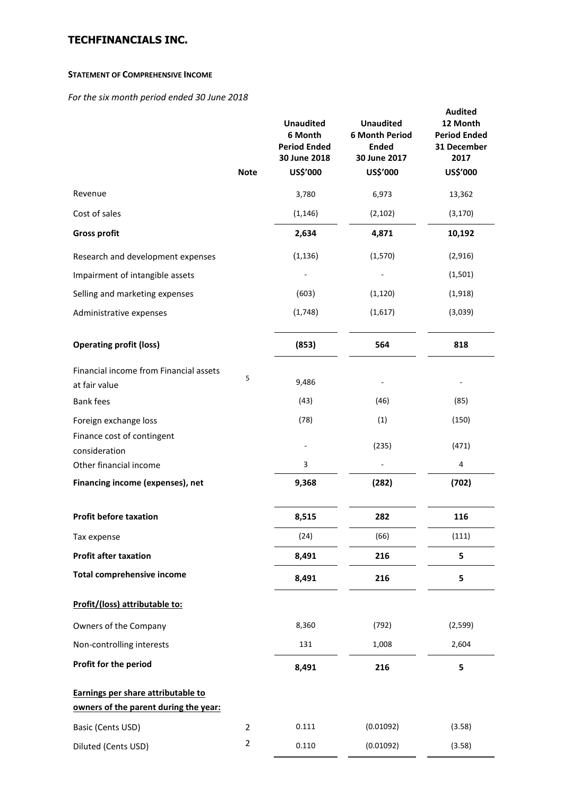### **STATEMENT OF COMPREHENSIVE INCOME**

*For the six month period ended 30 June 2018*

|                                                         | <b>Note</b>         | <b>Unaudited</b><br>6 Month<br><b>Period Ended</b><br>30 June 2018<br>US\$'000 | <b>Unaudited</b><br><b>6 Month Period</b><br><b>Ended</b><br>30 June 2017<br>US\$'000 | <b>Audited</b><br>12 Month<br><b>Period Ended</b><br>31 December<br>2017<br>US\$'000 |
|---------------------------------------------------------|---------------------|--------------------------------------------------------------------------------|---------------------------------------------------------------------------------------|--------------------------------------------------------------------------------------|
| Revenue                                                 |                     | 3,780                                                                          | 6,973                                                                                 | 13,362                                                                               |
| Cost of sales                                           |                     | (1, 146)                                                                       | (2, 102)                                                                              | (3, 170)                                                                             |
| <b>Gross profit</b>                                     |                     | 2,634                                                                          | 4,871                                                                                 | 10,192                                                                               |
| Research and development expenses                       |                     | (1, 136)                                                                       | (1,570)                                                                               | (2,916)                                                                              |
| Impairment of intangible assets                         |                     |                                                                                |                                                                                       | (1,501)                                                                              |
| Selling and marketing expenses                          |                     | (603)                                                                          | (1, 120)                                                                              | (1,918)                                                                              |
| Administrative expenses                                 |                     | (1,748)                                                                        | (1,617)                                                                               | (3,039)                                                                              |
| <b>Operating profit (loss)</b>                          |                     | (853)                                                                          | 564                                                                                   | 818                                                                                  |
| Financial income from Financial assets<br>at fair value | 5                   | 9,486                                                                          |                                                                                       |                                                                                      |
| <b>Bank fees</b>                                        |                     | (43)                                                                           | (46)                                                                                  | (85)                                                                                 |
| Foreign exchange loss                                   |                     | (78)                                                                           | (1)                                                                                   | (150)                                                                                |
| Finance cost of contingent<br>consideration             |                     |                                                                                | (235)                                                                                 | (471)                                                                                |
| Other financial income                                  |                     | 3                                                                              |                                                                                       | 4                                                                                    |
| Financing income (expenses), net                        |                     | 9,368                                                                          | (282)                                                                                 | (702)                                                                                |
| <b>Profit before taxation</b>                           |                     | 8,515                                                                          | 282                                                                                   | 116                                                                                  |
| Tax expense                                             |                     | (24)                                                                           | (66)                                                                                  | (111)                                                                                |
| <b>Profit after taxation</b>                            |                     | 8,491                                                                          | 216                                                                                   | 5                                                                                    |
| <b>Total comprehensive income</b>                       |                     | 8,491                                                                          | 216                                                                                   | 5                                                                                    |
| Profit/(loss) attributable to:                          |                     |                                                                                |                                                                                       |                                                                                      |
| Owners of the Company                                   |                     | 8,360                                                                          | (792)                                                                                 | (2, 599)                                                                             |
| Non-controlling interests                               |                     | 131                                                                            | 1,008                                                                                 | 2,604                                                                                |
| Profit for the period                                   |                     | 8,491                                                                          | 216                                                                                   | 5                                                                                    |
| Earnings per share attributable to                      |                     |                                                                                |                                                                                       |                                                                                      |
| owners of the parent during the year:                   |                     |                                                                                |                                                                                       |                                                                                      |
| Basic (Cents USD)                                       | $\overline{2}$<br>2 | 0.111                                                                          | (0.01092)                                                                             | (3.58)                                                                               |
| Diluted (Cents USD)                                     |                     | 0.110                                                                          | (0.01092)                                                                             | (3.58)                                                                               |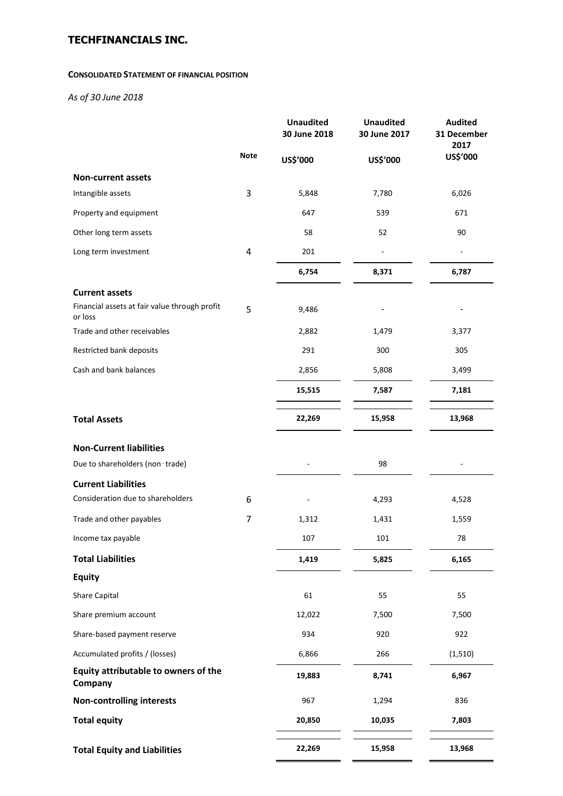### **CONSOLIDATED STATEMENT OF FINANCIAL POSITION**

*As of 30 June 2018*

|                                                          |             | <b>Unaudited</b><br>30 June 2018 | <b>Unaudited</b><br>30 June 2017 | <b>Audited</b><br>31 December<br>2017 |
|----------------------------------------------------------|-------------|----------------------------------|----------------------------------|---------------------------------------|
|                                                          | <b>Note</b> | US\$'000                         | US\$'000                         | US\$'000                              |
| Non-current assets                                       |             |                                  |                                  |                                       |
| Intangible assets                                        | 3           | 5,848                            | 7,780                            | 6,026                                 |
| Property and equipment                                   |             | 647                              | 539                              | 671                                   |
| Other long term assets                                   |             | 58                               | 52                               | 90                                    |
| Long term investment                                     | 4           | 201                              |                                  |                                       |
|                                                          |             | 6,754                            | 8,371                            | 6,787                                 |
| <b>Current assets</b>                                    |             |                                  |                                  |                                       |
| Financial assets at fair value through profit<br>or loss | 5           | 9,486                            |                                  |                                       |
| Trade and other receivables                              |             | 2,882                            | 1,479                            | 3,377                                 |
| Restricted bank deposits                                 |             | 291                              | 300                              | 305                                   |
| Cash and bank balances                                   |             | 2,856                            | 5,808                            | 3,499                                 |
|                                                          |             | 15,515                           | 7,587                            | 7,181                                 |
| <b>Total Assets</b>                                      |             | 22,269                           | 15,958                           | 13,968                                |
| <b>Non-Current liabilities</b>                           |             |                                  |                                  |                                       |
| Due to shareholders (non-trade)                          |             |                                  | 98                               |                                       |
| <b>Current Liabilities</b>                               |             |                                  |                                  |                                       |
| Consideration due to shareholders                        | 6           |                                  | 4,293                            | 4,528                                 |
| Trade and other payables                                 | 7           | 1,312                            | 1,431                            | 1,559                                 |
| Income tax payable                                       |             | 107                              | 101                              | 78                                    |
| <b>Total Liabilities</b>                                 |             | 1,419                            | 5,825                            | 6,165                                 |
| <b>Equity</b>                                            |             |                                  |                                  |                                       |
| <b>Share Capital</b>                                     |             | 61                               | 55                               | 55                                    |
| Share premium account                                    |             | 12,022                           | 7,500                            | 7,500                                 |
| Share-based payment reserve                              |             | 934                              | 920                              | 922                                   |
| Accumulated profits / (losses)                           |             | 6,866                            | 266                              | (1, 510)                              |
| Equity attributable to owners of the<br>Company          |             | 19,883                           | 8,741                            | 6,967                                 |
| <b>Non-controlling interests</b>                         |             | 967                              | 1,294                            | 836                                   |
| <b>Total equity</b>                                      |             | 20,850                           | 10,035                           | 7,803                                 |
| <b>Total Equity and Liabilities</b>                      |             | 22,269                           | 15,958                           | 13,968                                |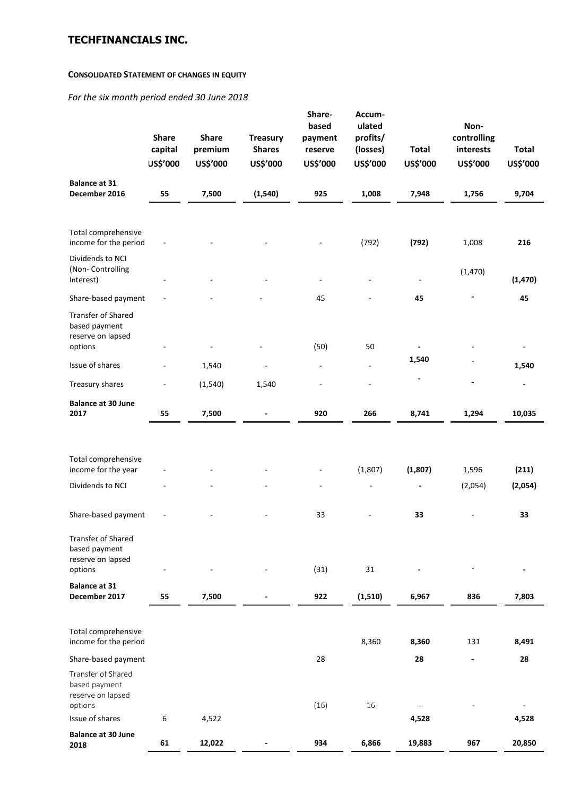### **CONSOLIDATED STATEMENT OF CHANGES IN EQUITY**

*For the six month period ended 30 June 2018*

|                                                                     | <b>Share</b><br>capital<br>US\$'000 | <b>Share</b><br>premium<br>US\$'000 | <b>Treasury</b><br><b>Shares</b><br>US\$'000 | Share-<br>based<br>payment<br>reserve<br>US\$'000 | Accum-<br>ulated<br>profits/<br>(losses)<br>US\$'000 | <b>Total</b><br>US\$'000 | Non-<br>controlling<br>interests<br>US\$'000 | <b>Total</b><br>US\$'000 |
|---------------------------------------------------------------------|-------------------------------------|-------------------------------------|----------------------------------------------|---------------------------------------------------|------------------------------------------------------|--------------------------|----------------------------------------------|--------------------------|
| <b>Balance at 31</b><br>December 2016                               | 55                                  | 7,500                               | (1, 540)                                     | 925                                               | 1,008                                                | 7,948                    | 1,756                                        | 9,704                    |
|                                                                     |                                     |                                     |                                              |                                                   |                                                      |                          |                                              |                          |
| Total comprehensive<br>income for the period                        |                                     |                                     |                                              |                                                   | (792)                                                | (792)                    | 1,008                                        | 216                      |
| Dividends to NCI<br>(Non- Controlling<br>Interest)                  |                                     |                                     |                                              |                                                   |                                                      |                          | (1,470)                                      | (1, 470)                 |
| Share-based payment                                                 |                                     |                                     |                                              | 45                                                |                                                      | 45                       |                                              | 45                       |
| <b>Transfer of Shared</b>                                           |                                     |                                     |                                              |                                                   |                                                      |                          |                                              |                          |
| based payment                                                       |                                     |                                     |                                              |                                                   |                                                      |                          |                                              |                          |
| reserve on lapsed<br>options                                        |                                     |                                     |                                              | (50)                                              | 50                                                   |                          |                                              | $\overline{\phantom{a}}$ |
| Issue of shares                                                     |                                     | 1,540                               |                                              | ÷,                                                | $\overline{\phantom{a}}$                             | 1,540                    |                                              | 1,540                    |
| Treasury shares                                                     |                                     | (1, 540)                            | 1,540                                        |                                                   |                                                      |                          | $\overline{a}$                               |                          |
| <b>Balance at 30 June</b>                                           |                                     |                                     |                                              |                                                   |                                                      |                          |                                              |                          |
| 2017                                                                | 55                                  | 7,500                               |                                              | 920                                               | 266                                                  | 8,741                    | 1,294                                        | 10,035                   |
|                                                                     |                                     |                                     |                                              |                                                   |                                                      |                          |                                              |                          |
| Total comprehensive                                                 |                                     |                                     |                                              |                                                   |                                                      |                          |                                              |                          |
| income for the year                                                 |                                     |                                     |                                              |                                                   | (1,807)                                              | (1,807)                  | 1,596                                        | (211)                    |
| Dividends to NCI                                                    |                                     |                                     |                                              |                                                   |                                                      |                          | (2,054)                                      | (2,054)                  |
|                                                                     |                                     |                                     |                                              |                                                   |                                                      |                          |                                              |                          |
| Share-based payment                                                 |                                     |                                     |                                              | 33                                                |                                                      | 33                       |                                              | 33                       |
| <b>Transfer of Shared</b><br>based payment<br>reserve on lapsed     |                                     |                                     |                                              |                                                   |                                                      |                          |                                              |                          |
| options                                                             |                                     |                                     |                                              | (31)                                              | 31                                                   |                          |                                              |                          |
| <b>Balance at 31</b><br>December 2017                               | 55                                  | 7,500                               |                                              | 922                                               | (1, 510)                                             | 6,967                    | 836                                          | 7,803                    |
|                                                                     |                                     |                                     |                                              |                                                   |                                                      |                          |                                              |                          |
| Total comprehensive<br>income for the period                        |                                     |                                     |                                              |                                                   | 8,360                                                | 8,360                    | 131                                          | 8,491                    |
| Share-based payment                                                 |                                     |                                     |                                              | 28                                                |                                                      | 28                       | $\blacksquare$                               | 28                       |
| Transfer of Shared<br>based payment<br>reserve on lapsed<br>options |                                     |                                     |                                              | (16)                                              | 16                                                   |                          |                                              |                          |
| Issue of shares                                                     | 6                                   | 4,522                               |                                              |                                                   |                                                      | 4,528                    |                                              | 4,528                    |
| <b>Balance at 30 June</b><br>2018                                   | 61                                  | 12,022                              |                                              | 934                                               | 6,866                                                | 19,883                   | 967                                          | 20,850                   |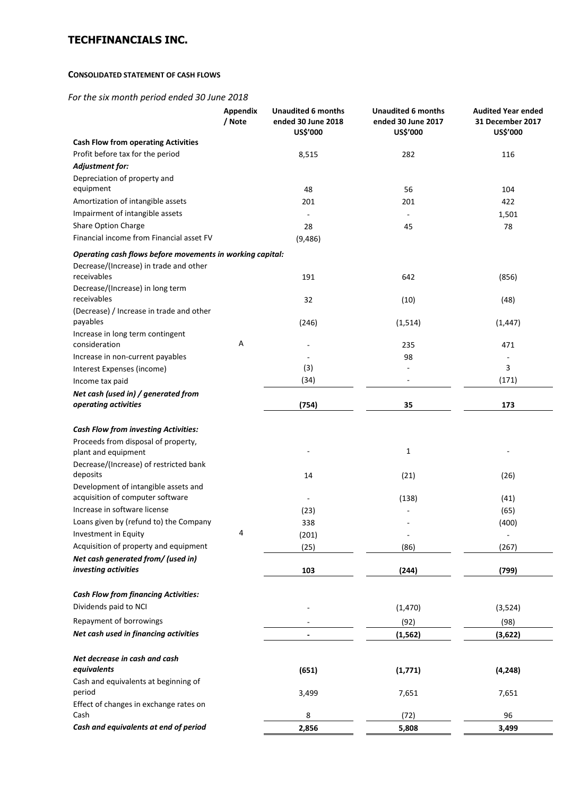### **CONSOLIDATED STATEMENT OF CASH FLOWS**

*For the six month period ended 30 June 2018*

|                                                                          | Appendix<br>/ Note | <b>Unaudited 6 months</b><br>ended 30 June 2018<br>US\$'000 | <b>Unaudited 6 months</b><br>ended 30 June 2017<br>US\$'000 | <b>Audited Year ended</b><br>31 December 2017<br>US\$'000 |
|--------------------------------------------------------------------------|--------------------|-------------------------------------------------------------|-------------------------------------------------------------|-----------------------------------------------------------|
| <b>Cash Flow from operating Activities</b>                               |                    |                                                             |                                                             |                                                           |
| Profit before tax for the period                                         |                    | 8,515                                                       | 282                                                         | 116                                                       |
| Adjustment for:                                                          |                    |                                                             |                                                             |                                                           |
| Depreciation of property and<br>equipment                                |                    |                                                             |                                                             |                                                           |
| Amortization of intangible assets                                        |                    | 48<br>201                                                   | 56<br>201                                                   | 104<br>422                                                |
| Impairment of intangible assets                                          |                    |                                                             |                                                             |                                                           |
| Share Option Charge                                                      |                    | 28                                                          |                                                             | 1,501<br>78                                               |
| Financial income from Financial asset FV                                 |                    | (9,486)                                                     | 45                                                          |                                                           |
| Operating cash flows before movements in working capital:                |                    |                                                             |                                                             |                                                           |
| Decrease/(Increase) in trade and other<br>receivables                    |                    | 191                                                         | 642                                                         | (856)                                                     |
| Decrease/(Increase) in long term                                         |                    |                                                             |                                                             |                                                           |
| receivables                                                              |                    | 32                                                          | (10)                                                        | (48)                                                      |
| (Decrease) / Increase in trade and other                                 |                    |                                                             |                                                             |                                                           |
| payables                                                                 |                    | (246)                                                       | (1, 514)                                                    | (1, 447)                                                  |
| Increase in long term contingent<br>consideration                        | Α                  | $\overline{\phantom{a}}$                                    | 235                                                         | 471                                                       |
| Increase in non-current payables                                         |                    |                                                             | 98                                                          | $\overline{a}$                                            |
| Interest Expenses (income)                                               |                    | (3)                                                         |                                                             | 3                                                         |
| Income tax paid                                                          |                    | (34)                                                        |                                                             | (171)                                                     |
| Net cash (used in) / generated from                                      |                    |                                                             |                                                             |                                                           |
| operating activities                                                     |                    | (754)                                                       | 35                                                          | 173                                                       |
| <b>Cash Flow from investing Activities:</b>                              |                    |                                                             |                                                             |                                                           |
| Proceeds from disposal of property,                                      |                    |                                                             |                                                             |                                                           |
| plant and equipment                                                      |                    |                                                             | 1                                                           |                                                           |
| Decrease/(Increase) of restricted bank                                   |                    |                                                             |                                                             |                                                           |
| deposits                                                                 |                    | 14                                                          | (21)                                                        | (26)                                                      |
| Development of intangible assets and<br>acquisition of computer software |                    | $\overline{\phantom{a}}$                                    | (138)                                                       | (41)                                                      |
| Increase in software license                                             |                    | (23)                                                        |                                                             | (65)                                                      |
| Loans given by (refund to) the Company                                   |                    | 338                                                         |                                                             | (400)                                                     |
| Investment in Equity                                                     | 4                  | (201)                                                       |                                                             | $\overline{\phantom{a}}$                                  |
| Acquisition of property and equipment                                    |                    | (25)                                                        | (86)                                                        | (267)                                                     |
| Net cash generated from/ (used in)                                       |                    |                                                             |                                                             |                                                           |
| investing activities                                                     |                    | 103                                                         | (244)                                                       | (799)                                                     |
| <b>Cash Flow from financing Activities:</b>                              |                    |                                                             |                                                             |                                                           |
| Dividends paid to NCI                                                    |                    |                                                             | (1,470)                                                     | (3,524)                                                   |
| Repayment of borrowings                                                  |                    |                                                             | (92)                                                        | (98)                                                      |
| Net cash used in financing activities                                    |                    | $\blacksquare$                                              | (1, 562)                                                    | (3,622)                                                   |
|                                                                          |                    |                                                             |                                                             |                                                           |
| Net decrease in cash and cash                                            |                    |                                                             |                                                             |                                                           |
| equivalents                                                              |                    | (651)                                                       | (1,771)                                                     | (4, 248)                                                  |
| Cash and equivalents at beginning of<br>period                           |                    | 3,499                                                       | 7,651                                                       | 7,651                                                     |
| Effect of changes in exchange rates on                                   |                    |                                                             |                                                             |                                                           |
| Cash                                                                     |                    | 8                                                           | (72)                                                        | 96                                                        |
| Cash and equivalents at end of period                                    |                    | 2,856                                                       | 5,808                                                       | 3,499                                                     |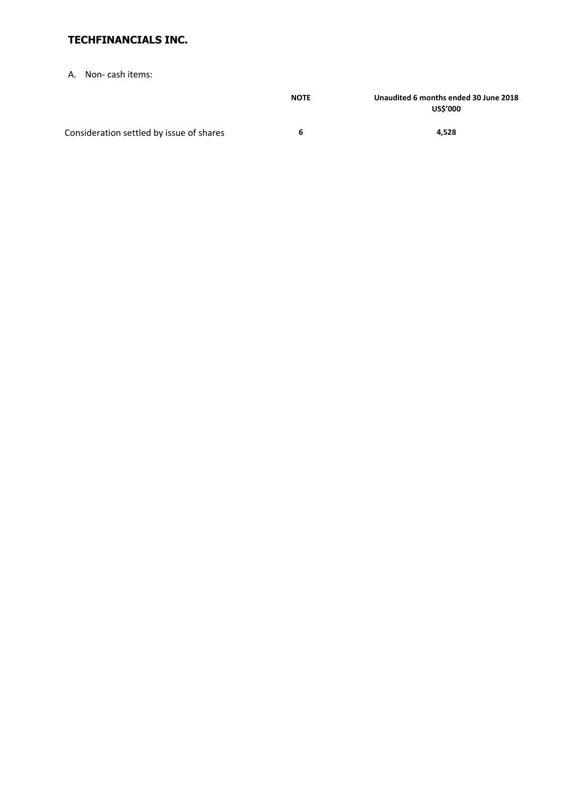A. Non- cash items:

|                                          | <b>NOTE</b> | Unaudited 6 months ended 30 June 2018<br><b>US\$'000</b> |
|------------------------------------------|-------------|----------------------------------------------------------|
| Consideration settled by issue of shares | h           | 4.528                                                    |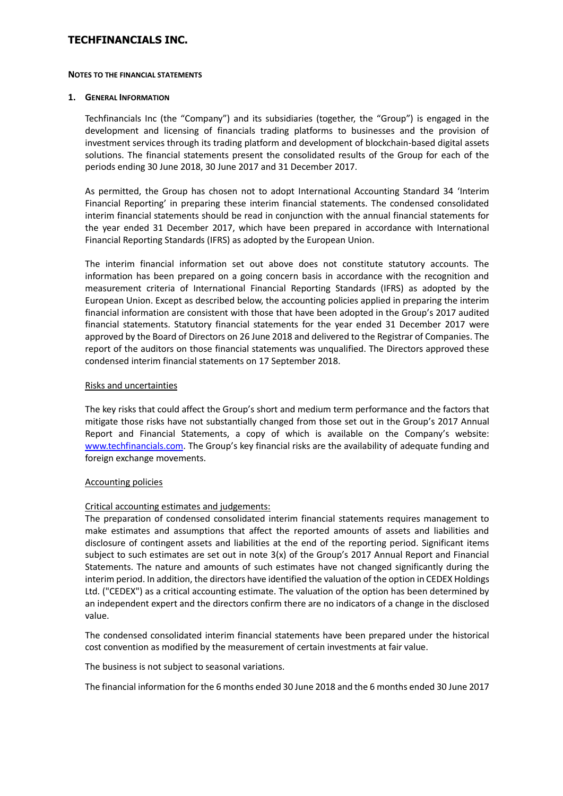#### **NOTES TO THE FINANCIAL STATEMENTS**

#### **1. GENERAL INFORMATION**

Techfinancials Inc (the "Company") and its subsidiaries (together, the "Group") is engaged in the development and licensing of financials trading platforms to businesses and the provision of investment services through its trading platform and development of blockchain-based digital assets solutions. The financial statements present the consolidated results of the Group for each of the periods ending 30 June 2018, 30 June 2017 and 31 December 2017.

As permitted, the Group has chosen not to adopt International Accounting Standard 34 'Interim Financial Reporting' in preparing these interim financial statements. The condensed consolidated interim financial statements should be read in conjunction with the annual financial statements for the year ended 31 December 2017, which have been prepared in accordance with International Financial Reporting Standards (IFRS) as adopted by the European Union.

The interim financial information set out above does not constitute statutory accounts. The information has been prepared on a going concern basis in accordance with the recognition and measurement criteria of International Financial Reporting Standards (IFRS) as adopted by the European Union. Except as described below, the accounting policies applied in preparing the interim financial information are consistent with those that have been adopted in the Group's 2017 audited financial statements. Statutory financial statements for the year ended 31 December 2017 were approved by the Board of Directors on 26 June 2018 and delivered to the Registrar of Companies. The report of the auditors on those financial statements was unqualified. The Directors approved these condensed interim financial statements on 17 September 2018.

### Risks and uncertainties

The key risks that could affect the Group's short and medium term performance and the factors that mitigate those risks have not substantially changed from those set out in the Group's 2017 Annual Report and Financial Statements, a copy of which is available on the Company's website: [www.techfinancials.com.](http://www.techfinancials.com/) The Group's key financial risks are the availability of adequate funding and foreign exchange movements.

### Accounting policies

## Critical accounting estimates and judgements:

The preparation of condensed consolidated interim financial statements requires management to make estimates and assumptions that affect the reported amounts of assets and liabilities and disclosure of contingent assets and liabilities at the end of the reporting period. Significant items subject to such estimates are set out in note 3(x) of the Group's 2017 Annual Report and Financial Statements. The nature and amounts of such estimates have not changed significantly during the interim period. In addition, the directors have identified the valuation of the option in CEDEX Holdings Ltd. ("CEDEX") as a critical accounting estimate. The valuation of the option has been determined by an independent expert and the directors confirm there are no indicators of a change in the disclosed value.

The condensed consolidated interim financial statements have been prepared under the historical cost convention as modified by the measurement of certain investments at fair value.

The business is not subject to seasonal variations.

The financial information for the 6 months ended 30 June 2018 and the 6 months ended 30 June 2017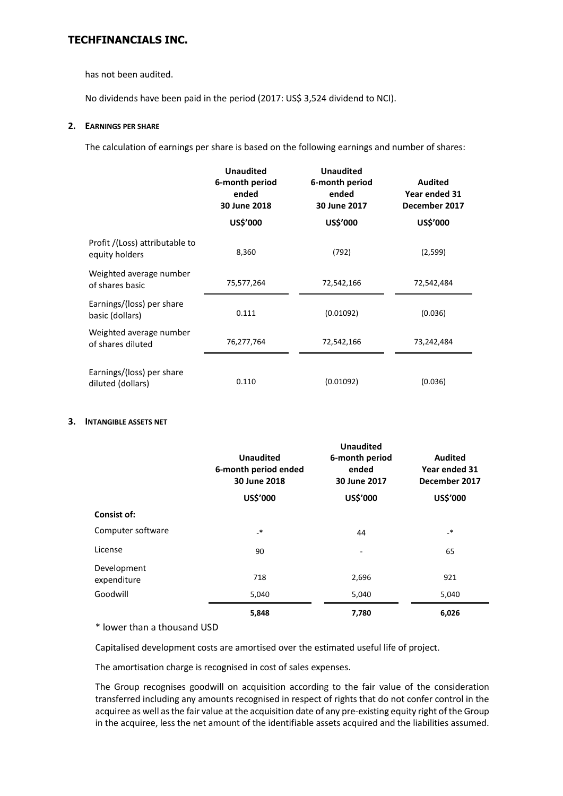has not been audited.

No dividends have been paid in the period (2017: US\$ 3,524 dividend to NCI).

### **2. EARNINGS PER SHARE**

The calculation of earnings per share is based on the following earnings and number of shares:

|                                                  | <b>Unaudited</b><br>6-month period<br>ended<br>30 June 2018<br>US\$'000 | <b>Unaudited</b><br>6-month period<br>ended<br>30 June 2017<br>US\$'000 | <b>Audited</b><br>Year ended 31<br>December 2017<br>US\$'000 |
|--------------------------------------------------|-------------------------------------------------------------------------|-------------------------------------------------------------------------|--------------------------------------------------------------|
| Profit /(Loss) attributable to<br>equity holders | 8,360                                                                   | (792)                                                                   | (2,599)                                                      |
| Weighted average number<br>of shares basic       | 75,577,264                                                              | 72,542,166                                                              | 72,542,484                                                   |
| Earnings/(loss) per share<br>basic (dollars)     | 0.111                                                                   | (0.01092)                                                               | (0.036)                                                      |
| Weighted average number<br>of shares diluted     | 76,277,764                                                              | 72,542,166                                                              | 73,242,484                                                   |
| Earnings/(loss) per share<br>diluted (dollars)   | 0.110                                                                   | (0.01092)                                                               | (0.036)                                                      |

### **3. INTANGIBLE ASSETS NET**

|                            | <b>Unaudited</b><br>6-month period ended<br>30 June 2018 | 6-month period<br>ended<br>30 June 2017 | <b>Audited</b><br>Year ended 31<br>December 2017 |  |
|----------------------------|----------------------------------------------------------|-----------------------------------------|--------------------------------------------------|--|
|                            | US\$'000                                                 | US\$'000                                | US\$'000                                         |  |
| <b>Consist of:</b>         |                                                          |                                         |                                                  |  |
| Computer software          | $\cdot^*$                                                | 44                                      | $_{-*}$                                          |  |
| License                    | 90                                                       |                                         | 65                                               |  |
| Development<br>expenditure | 718                                                      | 2,696                                   | 921                                              |  |
| Goodwill                   | 5,040                                                    | 5,040                                   | 5,040                                            |  |
|                            | 5,848                                                    | 7,780                                   | 6,026                                            |  |

\* lower than a thousand USD

Capitalised development costs are amortised over the estimated useful life of project.

The amortisation charge is recognised in cost of sales expenses.

The Group recognises goodwill on acquisition according to the fair value of the consideration transferred including any amounts recognised in respect of rights that do not confer control in the acquiree as well as the fair value at the acquisition date of any pre-existing equity right of the Group in the acquiree, less the net amount of the identifiable assets acquired and the liabilities assumed.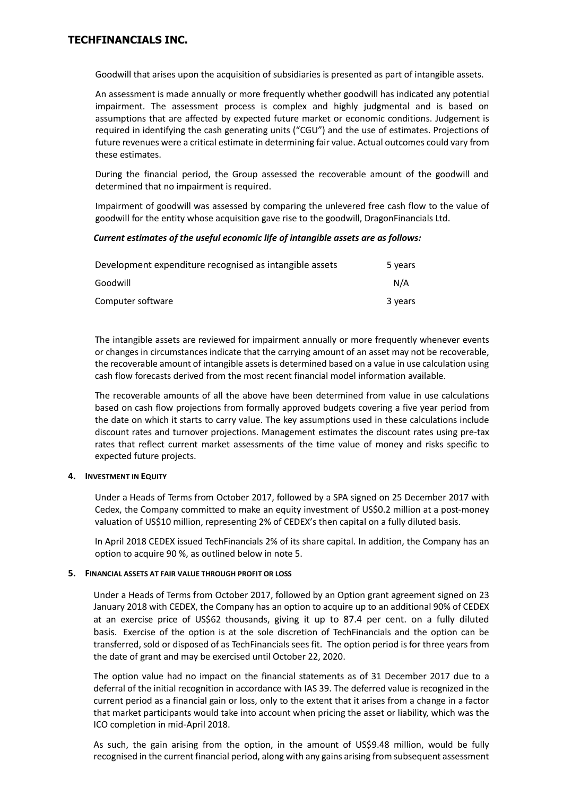Goodwill that arises upon the acquisition of subsidiaries is presented as part of intangible assets.

An assessment is made annually or more frequently whether goodwill has indicated any potential impairment. The assessment process is complex and highly judgmental and is based on assumptions that are affected by expected future market or economic conditions. Judgement is required in identifying the cash generating units ("CGU") and the use of estimates. Projections of future revenues were a critical estimate in determining fair value. Actual outcomes could vary from these estimates.

During the financial period, the Group assessed the recoverable amount of the goodwill and determined that no impairment is required.

Impairment of goodwill was assessed by comparing the unlevered free cash flow to the value of goodwill for the entity whose acquisition gave rise to the goodwill, DragonFinancials Ltd.

#### *Current estimates of the useful economic life of intangible assets are as follows:*

| Development expenditure recognised as intangible assets | 5 years |
|---------------------------------------------------------|---------|
| Goodwill                                                | N/A     |
| Computer software                                       | 3 years |

The intangible assets are reviewed for impairment annually or more frequently whenever events or changes in circumstances indicate that the carrying amount of an asset may not be recoverable, the recoverable amount of intangible assets is determined based on a value in use calculation using cash flow forecasts derived from the most recent financial model information available.

The recoverable amounts of all the above have been determined from value in use calculations based on cash flow projections from formally approved budgets covering a five year period from the date on which it starts to carry value. The key assumptions used in these calculations include discount rates and turnover projections. Management estimates the discount rates using pre-tax rates that reflect current market assessments of the time value of money and risks specific to expected future projects.

### **4. INVESTMENT IN EQUITY**

Under a Heads of Terms from October 2017, followed by a SPA signed on 25 December 2017 with Cedex, the Company committed to make an equity investment of US\$0.2 million at a post-money valuation of US\$10 million, representing 2% of CEDEX's then capital on a fully diluted basis.

In April 2018 CEDEX issued TechFinancials 2% of its share capital. In addition, the Company has an option to acquire 90 %, as outlined below in note 5.

#### **5. FINANCIAL ASSETS AT FAIR VALUE THROUGH PROFIT OR LOSS**

Under a Heads of Terms from October 2017, followed by an Option grant agreement signed on 23 January 2018 with CEDEX, the Company has an option to acquire up to an additional 90% of CEDEX at an exercise price of US\$62 thousands, giving it up to 87.4 per cent. on a fully diluted basis. Exercise of the option is at the sole discretion of TechFinancials and the option can be transferred, sold or disposed of as TechFinancials sees fit. The option period is for three years from the date of grant and may be exercised until October 22, 2020.

The option value had no impact on the financial statements as of 31 December 2017 due to a deferral of the initial recognition in accordance with IAS 39. The deferred value is recognized in the current period as a financial gain or loss, only to the extent that it arises from a change in a factor that market participants would take into account when pricing the asset or liability, which was the ICO completion in mid-April 2018.

As such, the gain arising from the option, in the amount of US\$9.48 million, would be fully recognised in the current financial period, along with any gains arising from subsequent assessment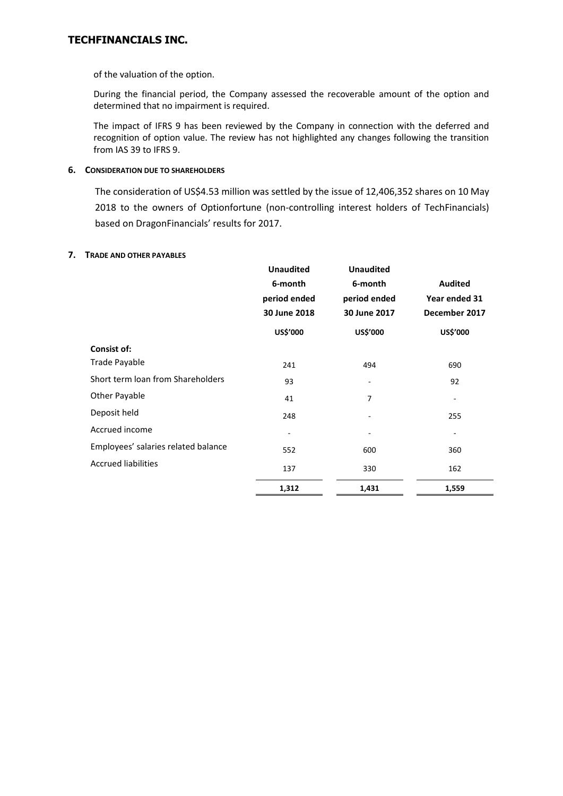of the valuation of the option.

During the financial period, the Company assessed the recoverable amount of the option and determined that no impairment is required.

The impact of IFRS 9 has been reviewed by the Company in connection with the deferred and recognition of option value. The review has not highlighted any changes following the transition from IAS 39 to IFRS 9.

## **6. CONSIDERATION DUE TO SHAREHOLDERS**

The consideration of US\$4.53 million was settled by the issue of 12,406,352 shares on 10 May 2018 to the owners of Optionfortune (non-controlling interest holders of TechFinancials) based on DragonFinancials' results for 2017.

### **7. TRADE AND OTHER PAYABLES**

|                                     | <b>Unaudited</b> | <b>Unaudited</b>         |                |
|-------------------------------------|------------------|--------------------------|----------------|
|                                     | 6-month          | 6-month                  | <b>Audited</b> |
|                                     | period ended     | period ended             | Year ended 31  |
|                                     | 30 June 2018     | 30 June 2017             | December 2017  |
|                                     | US\$'000         | US\$'000                 | US\$'000       |
| <b>Consist of:</b>                  |                  |                          |                |
| Trade Payable                       | 241              | 494                      | 690            |
| Short term loan from Shareholders   | 93               | $\overline{\phantom{a}}$ | 92             |
| <b>Other Payable</b>                | 41               | 7                        |                |
| Deposit held                        | 248              |                          | 255            |
| Accrued income                      |                  |                          |                |
| Employees' salaries related balance | 552              | 600                      | 360            |
| <b>Accrued liabilities</b>          | 137              | 330                      | 162            |
|                                     | 1,312            | 1,431                    | 1,559          |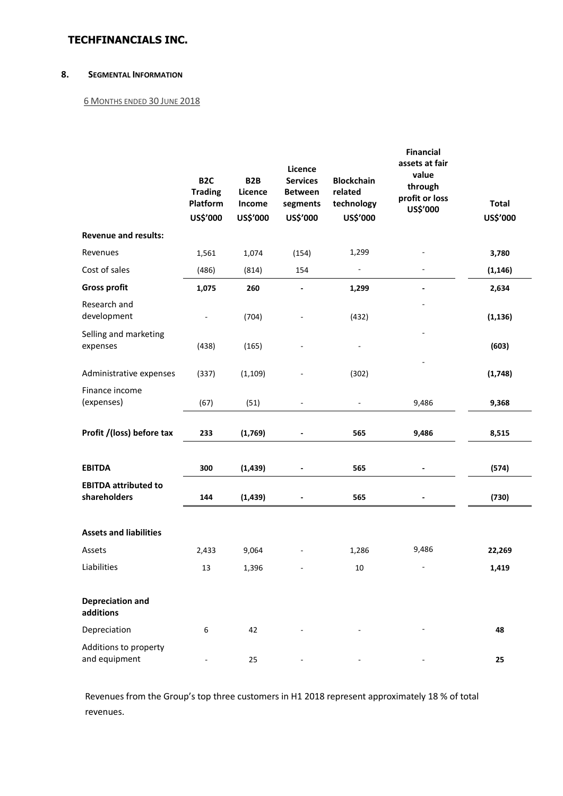### **8. SEGMENTAL INFORMATION**

### 6 MONTHS ENDED 30 JUNE 2018

|                                             | B <sub>2C</sub><br><b>Trading</b><br>Platform<br>US\$'000 | B <sub>2</sub> B<br>Licence<br>Income<br>US\$'000 | Licence<br><b>Services</b><br><b>Between</b><br>segments<br>US\$'000 | <b>Blockchain</b><br>related<br>technology<br>US\$'000 | <b>Financial</b><br>assets at fair<br>value<br>through<br>profit or loss<br>US\$'000 | <b>Total</b><br>US\$'000 |
|---------------------------------------------|-----------------------------------------------------------|---------------------------------------------------|----------------------------------------------------------------------|--------------------------------------------------------|--------------------------------------------------------------------------------------|--------------------------|
| <b>Revenue and results:</b>                 |                                                           |                                                   |                                                                      |                                                        |                                                                                      |                          |
| Revenues                                    | 1,561                                                     | 1,074                                             | (154)                                                                | 1,299                                                  |                                                                                      | 3,780                    |
| Cost of sales                               | (486)                                                     | (814)                                             | 154                                                                  |                                                        |                                                                                      | (1, 146)                 |
| <b>Gross profit</b>                         | 1,075                                                     | 260                                               | $\qquad \qquad \blacksquare$                                         | 1,299                                                  |                                                                                      | 2,634                    |
| Research and<br>development                 | $\overline{\phantom{a}}$                                  | (704)                                             |                                                                      | (432)                                                  |                                                                                      | (1, 136)                 |
| Selling and marketing<br>expenses           | (438)                                                     | (165)                                             |                                                                      |                                                        |                                                                                      | (603)                    |
| Administrative expenses                     | (337)                                                     | (1, 109)                                          |                                                                      | (302)                                                  |                                                                                      | (1,748)                  |
| Finance income<br>(expenses)                | (67)                                                      | (51)                                              |                                                                      |                                                        | 9,486                                                                                | 9,368                    |
| Profit /(loss) before tax                   | 233                                                       | (1,769)                                           | $\qquad \qquad \blacksquare$                                         | 565                                                    | 9,486                                                                                | 8,515                    |
| <b>EBITDA</b>                               | 300                                                       | (1, 439)                                          |                                                                      | 565                                                    | $\blacksquare$                                                                       | (574)                    |
| <b>EBITDA attributed to</b><br>shareholders | 144                                                       | (1, 439)                                          |                                                                      | 565                                                    |                                                                                      | (730)                    |
| <b>Assets and liabilities</b>               |                                                           |                                                   |                                                                      |                                                        |                                                                                      |                          |
| Assets                                      | 2,433                                                     | 9,064                                             |                                                                      | 1,286                                                  | 9,486                                                                                | 22,269                   |
| Liabilities                                 | 13                                                        | 1,396                                             |                                                                      | 10                                                     | $\overline{\phantom{a}}$                                                             | 1,419                    |
| <b>Depreciation and</b><br>additions        |                                                           |                                                   |                                                                      |                                                        |                                                                                      |                          |
| Depreciation                                | 6                                                         | 42                                                |                                                                      |                                                        |                                                                                      | 48                       |
| Additions to property<br>and equipment      |                                                           | 25                                                |                                                                      |                                                        |                                                                                      | 25                       |

Revenues from the Group's top three customers in H1 2018 represent approximately 18 % of total revenues.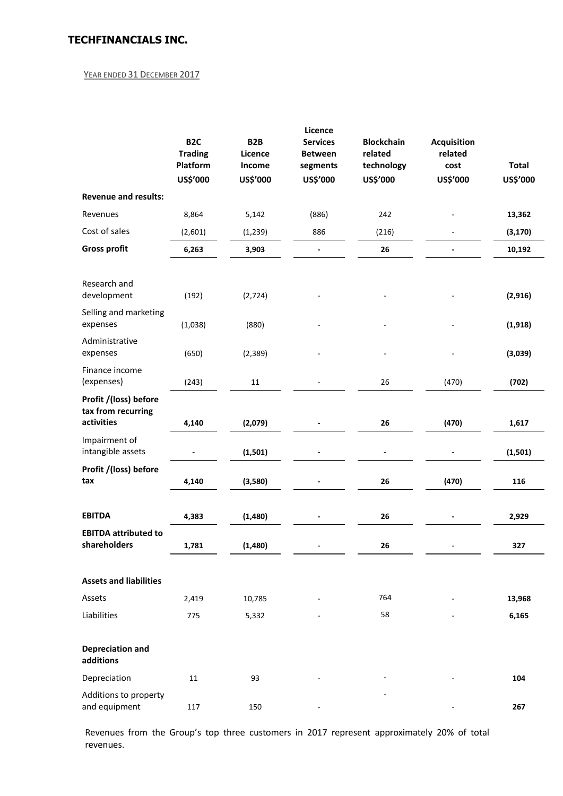## YEAR ENDED 31 DECEMBER 2017

|                                                           |                                    |                             | Licence                           |                              |                               |              |
|-----------------------------------------------------------|------------------------------------|-----------------------------|-----------------------------------|------------------------------|-------------------------------|--------------|
|                                                           | B <sub>2</sub> C<br><b>Trading</b> | B <sub>2</sub> B<br>Licence | <b>Services</b><br><b>Between</b> | <b>Blockchain</b><br>related | <b>Acquisition</b><br>related |              |
|                                                           | Platform                           | Income                      | segments                          | technology                   | cost                          | <b>Total</b> |
|                                                           | US\$'000                           | US\$'000                    | US\$'000                          | US\$'000                     | US\$'000                      | US\$'000     |
| <b>Revenue and results:</b>                               |                                    |                             |                                   |                              |                               |              |
| Revenues                                                  | 8,864                              | 5,142                       | (886)                             | 242                          |                               | 13,362       |
| Cost of sales                                             | (2,601)                            | (1, 239)                    | 886                               | (216)                        |                               | (3, 170)     |
| <b>Gross profit</b>                                       | 6,263                              | 3,903                       |                                   | 26                           |                               | 10,192       |
|                                                           |                                    |                             |                                   |                              |                               |              |
| Research and<br>development                               | (192)                              | (2, 724)                    |                                   |                              |                               | (2, 916)     |
| Selling and marketing<br>expenses                         | (1,038)                            | (880)                       |                                   |                              |                               | (1, 918)     |
| Administrative<br>expenses                                | (650)                              | (2, 389)                    |                                   |                              |                               | (3,039)      |
| Finance income<br>(expenses)                              | (243)                              | 11                          |                                   | 26                           | (470)                         | (702)        |
| Profit /(loss) before<br>tax from recurring<br>activities | 4,140                              | (2,079)                     |                                   | 26                           | (470)                         | 1,617        |
| Impairment of<br>intangible assets                        |                                    | (1,501)                     |                                   |                              |                               | (1,501)      |
| Profit /(loss) before<br>tax                              | 4,140                              | (3,580)                     |                                   | 26                           | (470)                         | 116          |
| <b>EBITDA</b>                                             | 4,383                              | (1,480)                     |                                   | 26                           |                               | 2,929        |
| <b>EBITDA attributed to</b><br>shareholders               | 1,781                              | (1,480)                     |                                   | 26                           |                               | 327          |
| <b>Assets and liabilities</b>                             |                                    |                             |                                   |                              |                               |              |
| Assets                                                    | 2,419                              | 10,785                      |                                   | 764                          |                               | 13,968       |
| Liabilities                                               | 775                                | 5,332                       |                                   | 58                           |                               | 6,165        |
| <b>Depreciation and</b><br>additions                      |                                    |                             |                                   |                              |                               |              |
| Depreciation                                              | 11                                 | 93                          |                                   |                              |                               | 104          |
| Additions to property<br>and equipment                    | 117                                | 150                         |                                   |                              |                               | 267          |

Revenues from the Group's top three customers in 2017 represent approximately 20% of total revenues.